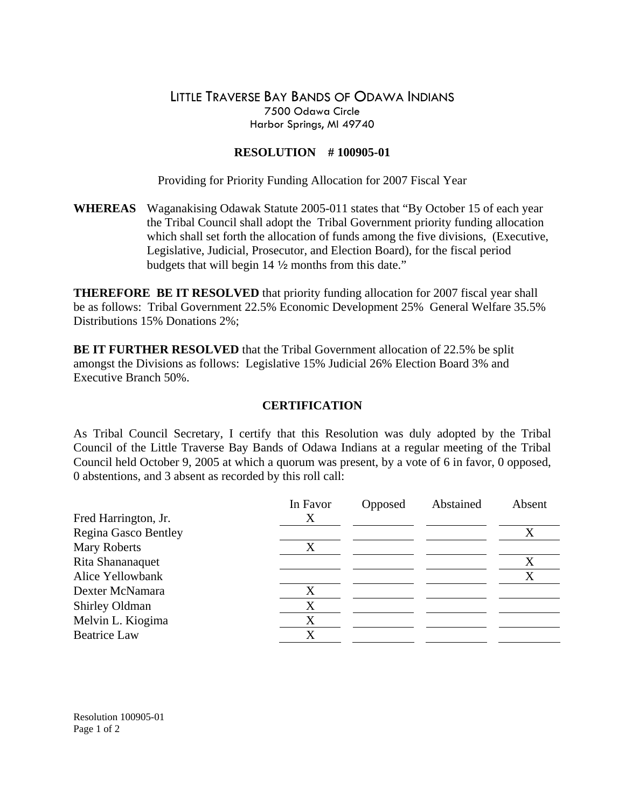## LITTLE TRAVERSE BAY BANDS OF ODAWA INDIANS Harbor Springs, MI 49740 7500 Odawa Circle

## **RESOLUTION # 100905-01**

Providing for Priority Funding Allocation for 2007 Fiscal Year

**WHEREAS** Waganakising Odawak Statute 2005-011 states that "By October 15 of each year which shall set forth the allocation of funds among the five divisions, (Executive, Legislative, Judicial, Prosecutor, and Election Board), for the fiscal period budgets that will begin 14  $\frac{1}{2}$  months from this date." the Tribal Council shall adopt the Tribal Government priority funding allocation

be as follows: Tribal Government 22.5% Economic Development 25% General Welfare 35.5% Distributions 15% Donations 2%; **THEREFORE BE IT RESOLVED** that priority funding allocation for 2007 fiscal year shall

amongst the Divisions as follows: Legislative 15% Judicial 26% Election Board 3% and xecutive Branch 50%. E **BE IT FURTHER RESOLVED** that the Tribal Government allocation of 22.5% be split

## **CERTIFICATION**

Council held October 9, 2005 at which a quorum was present, by a vote of 6 in favor, 0 opposed, 0 abstentions, and 3 absent as recorded by this roll call: As Tribal Council Secretary, I certify that this Resolution was duly adopted by the Tribal Council of the Little Traverse Bay Bands of Odawa Indians at a regular meeting of the Tribal

|                             | In Favor | Opposed | Abstained | Absent |
|-----------------------------|----------|---------|-----------|--------|
| Fred Harrington, Jr.        | Χ        |         |           |        |
| <b>Regina Gasco Bentley</b> |          |         |           | X      |
| <b>Mary Roberts</b>         | X        |         |           |        |
| Rita Shananaquet            |          |         |           | X      |
| Alice Yellowbank            |          |         |           | X      |
| Dexter McNamara             | X        |         |           |        |
| Shirley Oldman              | X        |         |           |        |
| Melvin L. Kiogima           | X        |         |           |        |
| <b>Beatrice Law</b>         | X        |         |           |        |

Resolution 100905-01 Page 1 of 2